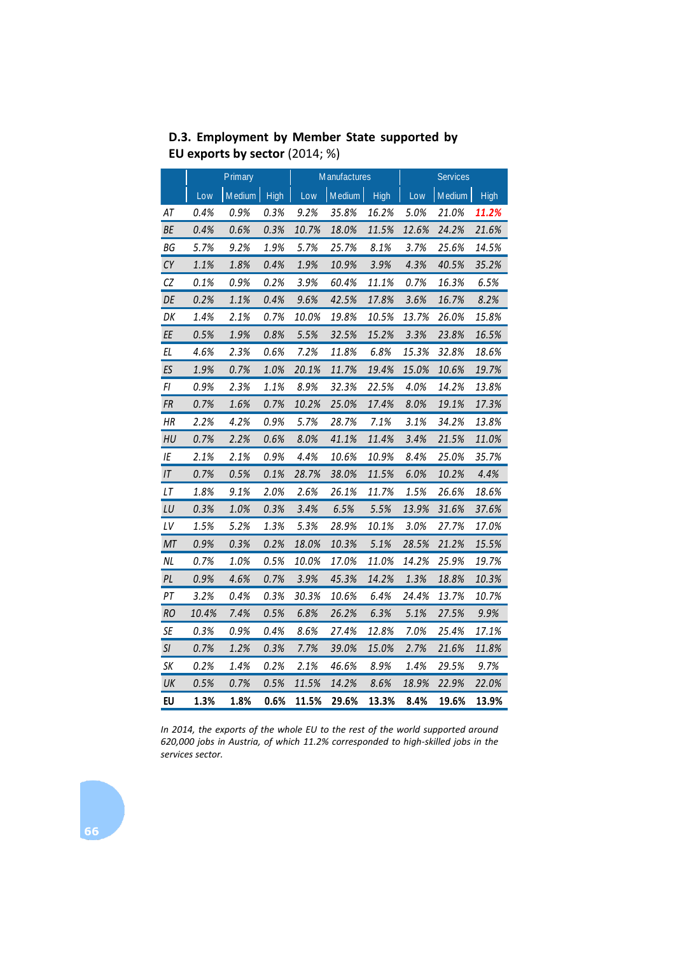| $\frac{1}{2}$ capping by sector (2014, 70) |         |        |             |                     |        |             |                 |        |       |
|--------------------------------------------|---------|--------|-------------|---------------------|--------|-------------|-----------------|--------|-------|
|                                            | Primary |        |             | <b>Manufactures</b> |        |             | <b>Services</b> |        |       |
|                                            | Low     | Medium | <b>High</b> | Low                 | Medium | <b>High</b> | Low             | Medium | High  |
| AT                                         | 0.4%    | 0.9%   | 0.3%        | 9.2%                | 35.8%  | 16.2%       | 5.0%            | 21.0%  | 11.2% |
| ВE                                         | 0.4%    | 0.6%   | 0.3%        | 10.7%               | 18.0%  | 11.5%       | 12.6%           | 24.2%  | 21.6% |
| ΒG                                         | 5.7%    | 9.2%   | 1.9%        | 5.7%                | 25.7%  | 8.1%        | 3.7%            | 25.6%  | 14.5% |
| CY                                         | 1.1%    | 1.8%   | 0.4%        | 1.9%                | 10.9%  | 3.9%        | 4.3%            | 40.5%  | 35.2% |
| CZ                                         | 0.1%    | 0.9%   | 0.2%        | 3.9%                | 60.4%  | 11.1%       | 0.7%            | 16.3%  | 6.5%  |
| DE                                         | 0.2%    | 1.1%   | 0.4%        | 9.6%                | 42.5%  | 17.8%       | 3.6%            | 16.7%  | 8.2%  |
| DK                                         | 1.4%    | 2.1%   | 0.7%        | 10.0%               | 19.8%  | 10.5%       | 13.7%           | 26.0%  | 15.8% |
| EE                                         | 0.5%    | 1.9%   | 0.8%        | 5.5%                | 32.5%  | 15.2%       | 3.3%            | 23.8%  | 16.5% |
| EL                                         | 4.6%    | 2.3%   | 0.6%        | 7.2%                | 11.8%  | 6.8%        | 15.3%           | 32.8%  | 18.6% |
| ES                                         | 1.9%    | 0.7%   | 1.0%        | 20.1%               | 11.7%  | 19.4%       | 15.0%           | 10.6%  | 19.7% |
| FI                                         | 0.9%    | 2.3%   | 1.1%        | 8.9%                | 32.3%  | 22.5%       | 4.0%            | 14.2%  | 13.8% |
| FR                                         | 0.7%    | 1.6%   | 0.7%        | 10.2%               | 25.0%  | 17.4%       | 8.0%            | 19.1%  | 17.3% |
| ΗR                                         | 2.2%    | 4.2%   | 0.9%        | 5.7%                | 28.7%  | 7.1%        | 3.1%            | 34.2%  | 13.8% |
| HU                                         | 0.7%    | 2.2%   | 0.6%        | 8.0%                | 41.1%  | 11.4%       | 3.4%            | 21.5%  | 11.0% |
| ΙE                                         | 2.1%    | 2.1%   | 0.9%        | 4.4%                | 10.6%  | 10.9%       | 8.4%            | 25.0%  | 35.7% |
| ΙT                                         | 0.7%    | 0.5%   | 0.1%        | 28.7%               | 38.0%  | 11.5%       | 6.0%            | 10.2%  | 4.4%  |
| LT                                         | 1.8%    | 9.1%   | 2.0%        | 2.6%                | 26.1%  | 11.7%       | 1.5%            | 26.6%  | 18.6% |
| LU                                         | 0.3%    | 1.0%   | 0.3%        | 3.4%                | 6.5%   | 5.5%        | 13.9%           | 31.6%  | 37.6% |
| LV                                         | 1.5%    | 5.2%   | 1.3%        | 5.3%                | 28.9%  | 10.1%       | 3.0%            | 27.7%  | 17.0% |
| МT                                         | 0.9%    | 0.3%   | 0.2%        | 18.0%               | 10.3%  | 5.1%        | 28.5%           | 21.2%  | 15.5% |
| <b>NL</b>                                  | 0.7%    | 1.0%   | 0.5%        | 10.0%               | 17.0%  | 11.0%       | 14.2%           | 25.9%  | 19.7% |
| PL                                         | 0.9%    | 4.6%   | 0.7%        | 3.9%                | 45.3%  | 14.2%       | 1.3%            | 18.8%  | 10.3% |
| PT                                         | 3.2%    | 0.4%   | 0.3%        | 30.3%               | 10.6%  | 6.4%        | 24.4%           | 13.7%  | 10.7% |
| <b>RO</b>                                  | 10.4%   | 7.4%   | 0.5%        | 6.8%                | 26.2%  | 6.3%        | 5.1%            | 27.5%  | 9.9%  |
| SE                                         | 0.3%    | 0.9%   | 0.4%        | 8.6%                | 27.4%  | 12.8%       | 7.0%            | 25.4%  | 17.1% |
| SI                                         | 0.7%    | 1.2%   | 0.3%        | 7.7%                | 39.0%  | 15.0%       | 2.7%            | 21.6%  | 11.8% |
| SK                                         | 0.2%    | 1.4%   | 0.2%        | 2.1%                | 46.6%  | 8.9%        | 1.4%            | 29.5%  | 9.7%  |
| UK                                         | 0.5%    | 0.7%   | 0.5%        | 11.5%               | 14.2%  | 8.6%        | 18.9%           | 22.9%  | 22.0% |
| EU                                         | 1.3%    | 1.8%   | 0.6%        | 11.5%               | 29.6%  | 13.3%       | 8.4%            | 19.6%  | 13.9% |

**D.3. Employment by Member State supported by EU exports by sector** (2014; %)

*In 2014, the exports of the whole EU to the rest of the world supported around 620,000 jobs in Austria, of which 11.2% corresponded to high-skilled jobs in the services sector.*